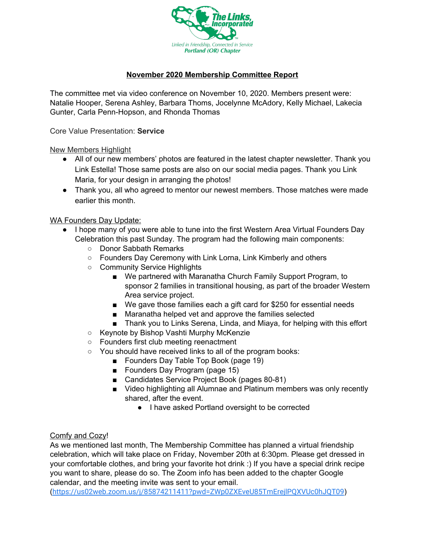

## **November 2020 Membership Committee Report**

The committee met via video conference on November 10, 2020. Members present were: Natalie Hooper, Serena Ashley, Barbara Thoms, Jocelynne McAdory, Kelly Michael, Lakecia Gunter, Carla Penn-Hopson, and Rhonda Thomas

Core Value Presentation: **Service**

New Members Highlight

- All of our new members' photos are featured in the latest chapter newsletter. Thank you Link Estella! Those same posts are also on our social media pages. Thank you Link Maria, for your design in arranging the photos!
- Thank you, all who agreed to mentor our newest members. Those matches were made earlier this month.

WA Founders Day Update:

- I hope many of you were able to tune into the first Western Area Virtual Founders Day Celebration this past Sunday. The program had the following main components:
	- Donor Sabbath Remarks
	- Founders Day Ceremony with Link Lorna, Link Kimberly and others
	- Community Service Highlights
		- We partnered with Maranatha Church Family Support Program, to sponsor 2 families in transitional housing, as part of the broader Western Area service project.
		- We gave those families each a gift card for \$250 for essential needs
		- Maranatha helped vet and approve the families selected
		- Thank you to Links Serena, Linda, and Miaya, for helping with this effort
	- Keynote by Bishop Vashti Murphy McKenzie
	- Founders first club meeting reenactment
	- You should have received links to all of the program books:
		- Founders Day Table Top Book (page 19)
		- Founders Day Program (page 15)
		- Candidates Service Project Book (pages 80-81)
		- Video highlighting all Alumnae and Platinum members was only recently shared, after the event.
			- I have asked Portland oversight to be corrected

## Comfy and Cozy!

As we mentioned last month, The Membership Committee has planned a virtual friendship celebration, which will take place on Friday, November 20th at 6:30pm. Please get dressed in your comfortable clothes, and bring your favorite hot drink :) If you have a special drink recipe you want to share, please do so. The Zoom info has been added to the chapter Google calendar, and the meeting invite was sent to your email.

(<https://us02web.zoom.us/j/85874211411?pwd=ZWp0ZXEveU85TmErejlPQXVUc0hJQT09>)